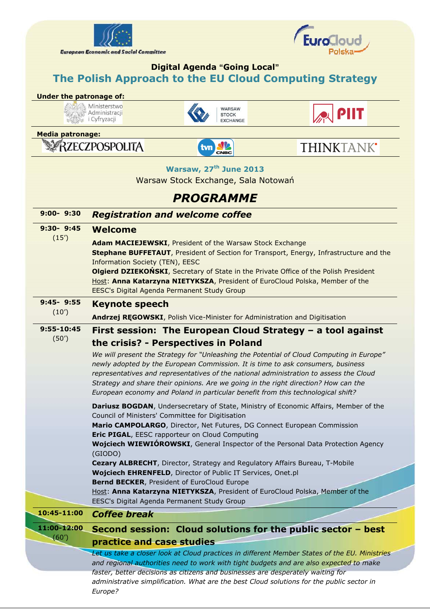



## **Digital Agenda "Going Local" The Polish Approach to the EU Cloud Computing Strategy**

## **Under the patronage of:**

Ministerstwo **ENERGY MINISTERSON**<br> **ENERGY MINISTRACIO**<br> **ENERGY COLLECT** 





**Media patronage:** 

RZECZPOSPOLITA

*Europe?* 



THINKTANK'

**Warsaw, 27th June 2013** 

Warsaw Stock Exchange, Sala Notowań

## *PROGRAMME*

| $9:00 - 9:30$        | <b>Registration and welcome coffee</b>                                                                                                                                                                                                                                                                                                                                                                              |
|----------------------|---------------------------------------------------------------------------------------------------------------------------------------------------------------------------------------------------------------------------------------------------------------------------------------------------------------------------------------------------------------------------------------------------------------------|
| $9:30 - 9:45$        | <b>Welcome</b>                                                                                                                                                                                                                                                                                                                                                                                                      |
| (15')                | Adam MACIEJEWSKI, President of the Warsaw Stock Exchange<br>Stephane BUFFETAUT, President of Section for Transport, Energy, Infrastructure and the<br>Information Society (TEN), EESC<br><b>Olgierd DZIEKOŃSKI, Secretary of State in the Private Office of the Polish President</b><br>Host: Anna Katarzyna NIETYKSZA, President of EuroCloud Polska, Member of the<br>EESC's Digital Agenda Permanent Study Group |
| $9:45 - 9:55$        | <b>Keynote speech</b>                                                                                                                                                                                                                                                                                                                                                                                               |
| (10')                | Andrzej REGOWSKI, Polish Vice-Minister for Administration and Digitisation                                                                                                                                                                                                                                                                                                                                          |
| 9:55-10:45           | First session: The European Cloud Strategy - a tool against                                                                                                                                                                                                                                                                                                                                                         |
| (50')                | the crisis? - Perspectives in Poland                                                                                                                                                                                                                                                                                                                                                                                |
|                      | We will present the Strategy for "Unleashing the Potential of Cloud Computing in Europe"                                                                                                                                                                                                                                                                                                                            |
|                      | newly adopted by the European Commission. It is time to ask consumers, business<br>representatives and representatives of the national administration to assess the Cloud                                                                                                                                                                                                                                           |
|                      | Strategy and share their opinions. Are we going in the right direction? How can the                                                                                                                                                                                                                                                                                                                                 |
|                      | European economy and Poland in particular benefit from this technological shift?                                                                                                                                                                                                                                                                                                                                    |
|                      | Dariusz BOGDAN, Undersecretary of State, Ministry of Economic Affairs, Member of the<br>Council of Ministers' Committee for Digitisation                                                                                                                                                                                                                                                                            |
|                      | Mario CAMPOLARGO, Director, Net Futures, DG Connect European Commission                                                                                                                                                                                                                                                                                                                                             |
|                      | Eric PIGAL, EESC rapporteur on Cloud Computing<br><b>Wojciech WIEWIÓROWSKI</b> , General Inspector of the Personal Data Protection Agency                                                                                                                                                                                                                                                                           |
|                      | (GIODO)                                                                                                                                                                                                                                                                                                                                                                                                             |
|                      | Cezary ALBRECHT, Director, Strategy and Regulatory Affairs Bureau, T-Mobile                                                                                                                                                                                                                                                                                                                                         |
|                      | Wojciech EHRENFELD, Director of Public IT Services, Onet.pl                                                                                                                                                                                                                                                                                                                                                         |
|                      | Bernd BECKER, President of EuroCloud Europe<br>Host: Anna Katarzyna NIETYKSZA, President of EuroCloud Polska, Member of the                                                                                                                                                                                                                                                                                         |
|                      | EESC's Digital Agenda Permanent Study Group                                                                                                                                                                                                                                                                                                                                                                         |
| 10:45-11:00          | <b>Coffee break</b>                                                                                                                                                                                                                                                                                                                                                                                                 |
| 11:00-12:00<br>(60') | Second session: Cloud solutions for the public sector - best                                                                                                                                                                                                                                                                                                                                                        |
|                      | practice and case studies                                                                                                                                                                                                                                                                                                                                                                                           |
|                      | Let us take a closer look at Cloud practices in different Member States of the EU. Ministries                                                                                                                                                                                                                                                                                                                       |
|                      | and regional authorities need to work with tight budgets and are also expected to make<br>faster, better decisions as citizens and businesses are desperately waiting for                                                                                                                                                                                                                                           |
|                      | administrative simplification. What are the best Cloud solutions for the public sector in                                                                                                                                                                                                                                                                                                                           |